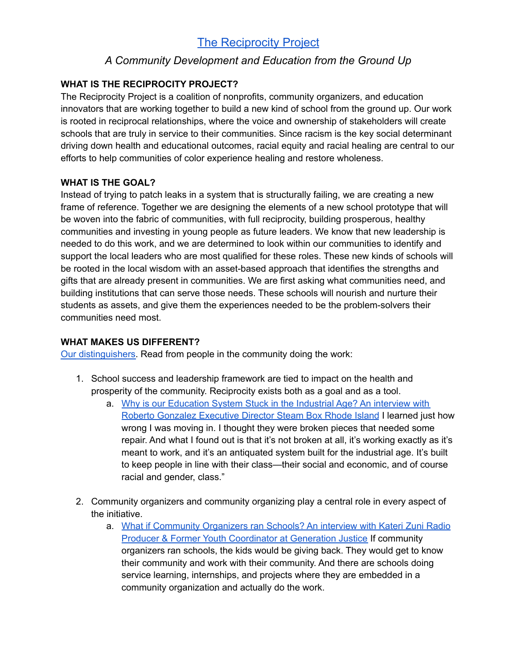# The [Reciprocity](https://thereciprocityprojecttrp.org/) Project

# *A Community Development and Education from the Ground Up*

## **WHAT IS THE RECIPROCITY PROJECT?**

The Reciprocity Project is a coalition of nonprofits, community organizers, and education innovators that are working together to build a new kind of school from the ground up. Our work is rooted in reciprocal relationships, where the voice and ownership of stakeholders will create schools that are truly in service to their communities. Since racism is the key social determinant driving down health and educational outcomes, racial equity and racial healing are central to our efforts to help communities of color experience healing and restore wholeness.

## **WHAT IS THE GOAL?**

Instead of trying to patch leaks in a system that is structurally failing, we are creating a new frame of reference. Together we are designing the elements of a new school prototype that will be woven into the fabric of communities, with full reciprocity, building prosperous, healthy communities and investing in young people as future leaders. We know that new leadership is needed to do this work, and we are determined to look within our communities to identify and support the local leaders who are most qualified for these roles. These new kinds of schools will be rooted in the local wisdom with an asset-based approach that identifies the strengths and gifts that are already present in communities. We are first asking what communities need, and building institutions that can serve those needs. These schools will nourish and nurture their students as assets, and give them the experiences needed to be the problem-solvers their communities need most.

#### **WHAT MAKES US DIFFERENT?**

Our [distinguishers.](https://thereciprocityprojecttrp.org/wp-content/uploads/2021/04/Distinguishers-Draft-03.29.2021.pdf) Read from people in the community doing the work:

- 1. School success and leadership framework are tied to impact on the health and prosperity of the community. Reciprocity exists both as a goal and as a tool.
	- a. Why is our [Education](https://thereciprocityprojecttrp.org/2021/02/24/why-is-our-education-system-stuck-in-the-industrial-age/) System Stuck in the Industrial Age? An interview with Roberto Gonzalez [Executive](https://thereciprocityprojecttrp.org/2021/02/24/why-is-our-education-system-stuck-in-the-industrial-age/) Director Steam Box Rhode Island I learned just how wrong I was moving in. I thought they were broken pieces that needed some repair. And what I found out is that it's not broken at all, it's working exactly as it's meant to work, and it's an antiquated system built for the industrial age. It's built to keep people in line with their class—their social and economic, and of course racial and gender, class."
- 2. Community organizers and community organizing play a central role in every aspect of the initiative.
	- a. What if [Community](https://thereciprocityprojecttrp.org/2020/12/22/what-if-community-organizers-ran-schools/) Organizers ran Schools? An interview with Kateri Zuni Radio Producer & Former Youth [Coordinator](https://thereciprocityprojecttrp.org/2020/12/22/what-if-community-organizers-ran-schools/) at Generation Justice If community organizers ran schools, the kids would be giving back. They would get to know their community and work with their community. And there are schools doing service learning, internships, and projects where they are embedded in a community organization and actually do the work.